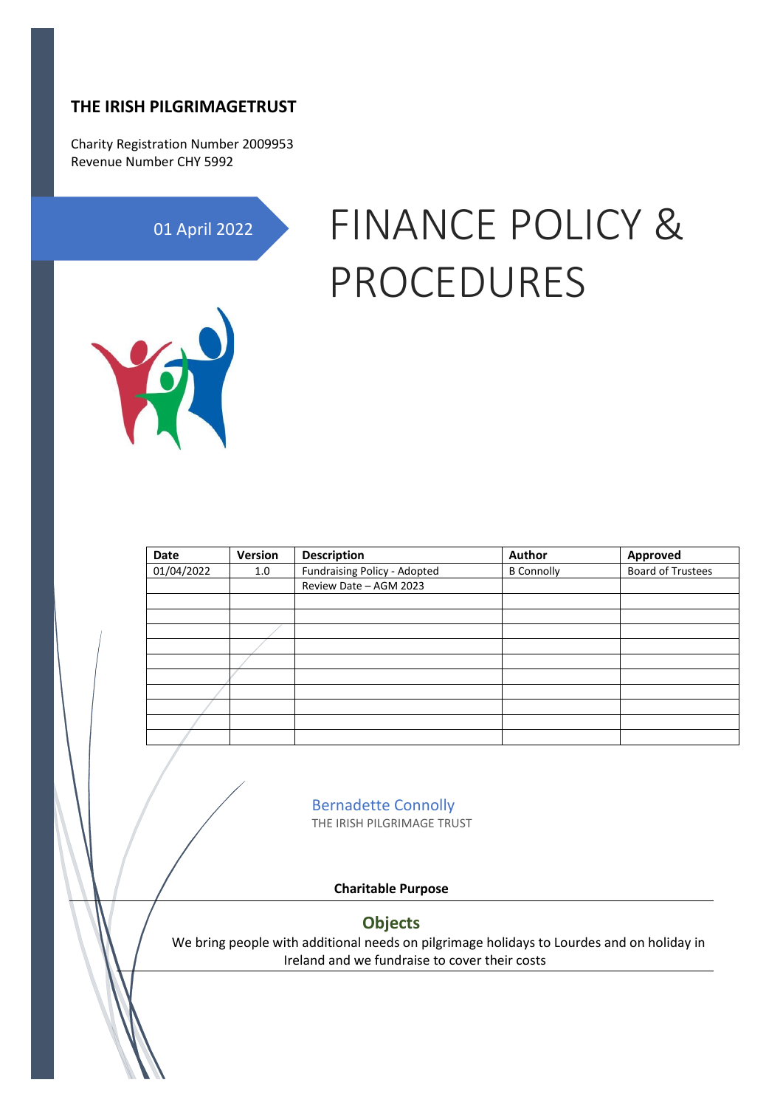## **THE IRISH PILGRIMAGETRUST**

Charity Registration Number 2009953 Revenue Number CHY 5992

01 April 2022

# FINANCE POLICY & PROCEDURES



| Date       | Version | <b>Description</b>           | Author            | Approved                 |
|------------|---------|------------------------------|-------------------|--------------------------|
| 01/04/2022 | 1.0     | Fundraising Policy - Adopted | <b>B</b> Connolly | <b>Board of Trustees</b> |
|            |         | Review Date - AGM 2023       |                   |                          |
|            |         |                              |                   |                          |
|            |         |                              |                   |                          |
|            |         |                              |                   |                          |
|            |         |                              |                   |                          |
|            |         |                              |                   |                          |
|            |         |                              |                   |                          |
|            |         |                              |                   |                          |
|            |         |                              |                   |                          |
|            |         |                              |                   |                          |
|            |         |                              |                   |                          |

Bernadette Connolly THE IRISH PILGRIMAGE TRUST

**Charitable Purpose**

#### **Objects**

We bring people with additional needs on pilgrimage holidays to Lourdes and on holiday in Ireland and we fundraise to cover their costs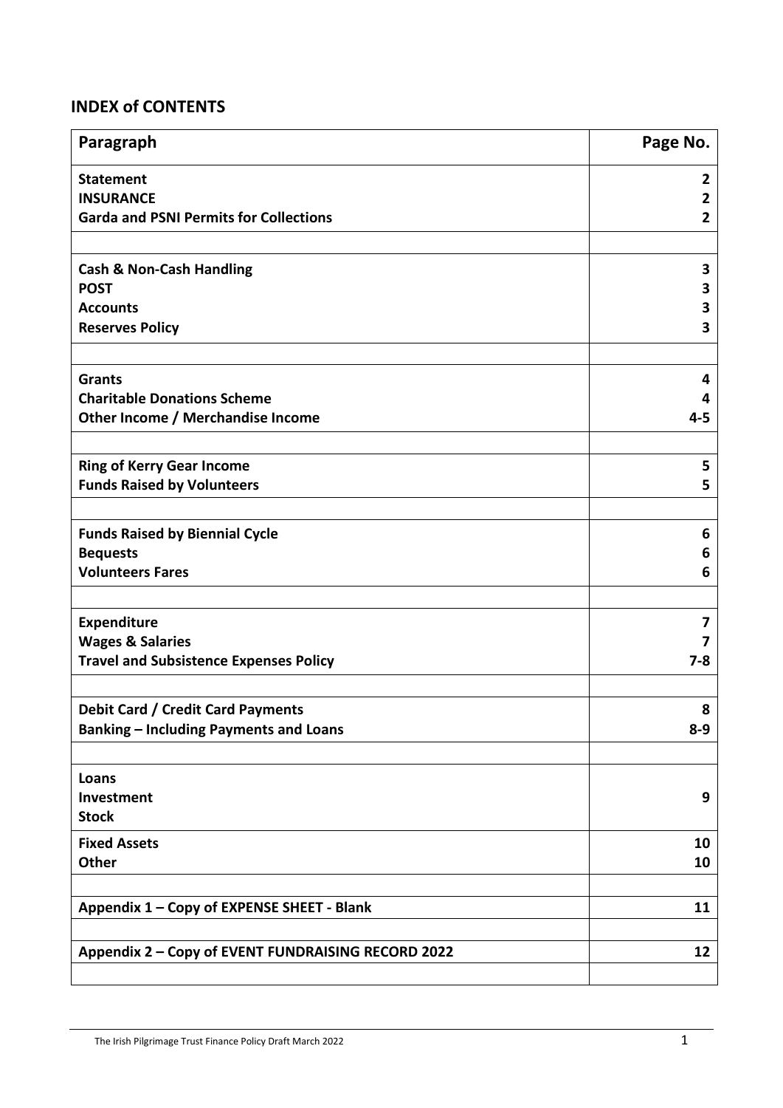# **INDEX of CONTENTS**

| Paragraph                                          | Page No.     |
|----------------------------------------------------|--------------|
| <b>Statement</b>                                   | 2            |
| <b>INSURANCE</b>                                   | 2            |
| <b>Garda and PSNI Permits for Collections</b>      | $\mathbf{2}$ |
|                                                    |              |
| <b>Cash &amp; Non-Cash Handling</b>                | 3            |
| <b>POST</b>                                        | 3            |
| <b>Accounts</b>                                    | 3            |
| <b>Reserves Policy</b>                             | 3            |
|                                                    |              |
| <b>Grants</b>                                      | 4            |
| <b>Charitable Donations Scheme</b>                 | 4            |
| Other Income / Merchandise Income                  | $4 - 5$      |
|                                                    |              |
| <b>Ring of Kerry Gear Income</b>                   | 5            |
| <b>Funds Raised by Volunteers</b>                  | 5            |
| <b>Funds Raised by Biennial Cycle</b>              | 6            |
| <b>Bequests</b>                                    | 6            |
| <b>Volunteers Fares</b>                            | 6            |
|                                                    |              |
| <b>Expenditure</b>                                 | 7            |
| <b>Wages &amp; Salaries</b>                        |              |
| <b>Travel and Subsistence Expenses Policy</b>      | $7 - 8$      |
|                                                    |              |
| <b>Debit Card / Credit Card Payments</b>           | 8            |
| <b>Banking - Including Payments and Loans</b>      | $8 - 9$      |
|                                                    |              |
| Loans                                              |              |
| Investment                                         | 9            |
| <b>Stock</b>                                       |              |
| <b>Fixed Assets</b>                                | 10           |
| <b>Other</b>                                       | 10           |
|                                                    |              |
| Appendix 1 - Copy of EXPENSE SHEET - Blank         | 11           |
|                                                    |              |
| Appendix 2 - Copy of EVENT FUNDRAISING RECORD 2022 | 12           |
|                                                    |              |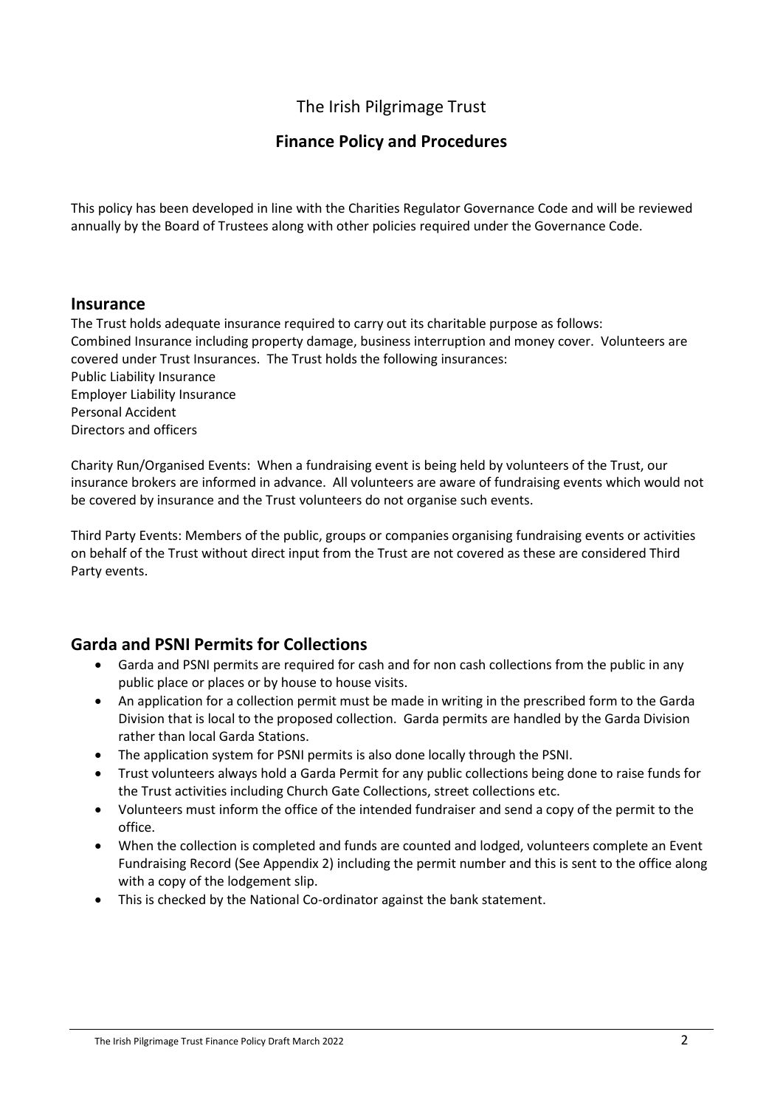# The Irish Pilgrimage Trust

## **Finance Policy and Procedures**

This policy has been developed in line with the Charities Regulator Governance Code and will be reviewed annually by the Board of Trustees along with other policies required under the Governance Code.

#### **Insurance**

The Trust holds adequate insurance required to carry out its charitable purpose as follows: Combined Insurance including property damage, business interruption and money cover. Volunteers are covered under Trust Insurances. The Trust holds the following insurances: Public Liability Insurance Employer Liability Insurance Personal Accident Directors and officers

Charity Run/Organised Events: When a fundraising event is being held by volunteers of the Trust, our insurance brokers are informed in advance. All volunteers are aware of fundraising events which would not be covered by insurance and the Trust volunteers do not organise such events.

Third Party Events: Members of the public, groups or companies organising fundraising events or activities on behalf of the Trust without direct input from the Trust are not covered as these are considered Third Party events.

#### **Garda and PSNI Permits for Collections**

- Garda and PSNI permits are required for cash and for non cash collections from the public in any public place or places or by house to house visits.
- An application for a collection permit must be made in writing in the prescribed form to the Garda Division that is local to the proposed collection. Garda permits are handled by the Garda Division rather than local Garda Stations.
- The application system for PSNI permits is also done locally through the PSNI.
- Trust volunteers always hold a Garda Permit for any public collections being done to raise funds for the Trust activities including Church Gate Collections, street collections etc.
- Volunteers must inform the office of the intended fundraiser and send a copy of the permit to the office.
- When the collection is completed and funds are counted and lodged, volunteers complete an Event Fundraising Record (See Appendix 2) including the permit number and this is sent to the office along with a copy of the lodgement slip.
- This is checked by the National Co-ordinator against the bank statement.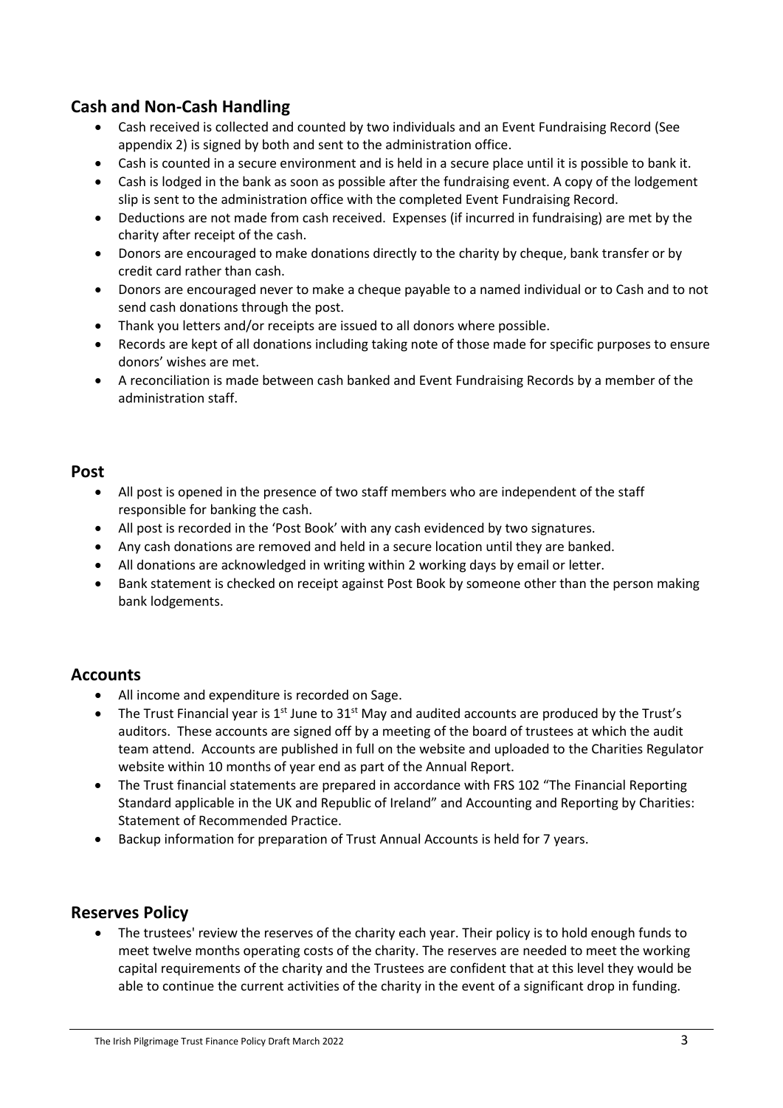# **Cash and Non-Cash Handling**

- Cash received is collected and counted by two individuals and an Event Fundraising Record (See appendix 2) is signed by both and sent to the administration office.
- Cash is counted in a secure environment and is held in a secure place until it is possible to bank it.
- Cash is lodged in the bank as soon as possible after the fundraising event. A copy of the lodgement slip is sent to the administration office with the completed Event Fundraising Record.
- Deductions are not made from cash received. Expenses (if incurred in fundraising) are met by the charity after receipt of the cash.
- Donors are encouraged to make donations directly to the charity by cheque, bank transfer or by credit card rather than cash.
- Donors are encouraged never to make a cheque payable to a named individual or to Cash and to not send cash donations through the post.
- Thank you letters and/or receipts are issued to all donors where possible.
- Records are kept of all donations including taking note of those made for specific purposes to ensure donors' wishes are met.
- A reconciliation is made between cash banked and Event Fundraising Records by a member of the administration staff.

#### **Post**

- All post is opened in the presence of two staff members who are independent of the staff responsible for banking the cash.
- All post is recorded in the 'Post Book' with any cash evidenced by two signatures.
- Any cash donations are removed and held in a secure location until they are banked.
- All donations are acknowledged in writing within 2 working days by email or letter.
- Bank statement is checked on receipt against Post Book by someone other than the person making bank lodgements.

#### **Accounts**

- All income and expenditure is recorded on Sage.
- The Trust Financial year is  $1<sup>st</sup>$  June to  $31<sup>st</sup>$  May and audited accounts are produced by the Trust's auditors. These accounts are signed off by a meeting of the board of trustees at which the audit team attend. Accounts are published in full on the website and uploaded to the Charities Regulator website within 10 months of year end as part of the Annual Report.
- The Trust financial statements are prepared in accordance with FRS 102 "The Financial Reporting Standard applicable in the UK and Republic of Ireland" and Accounting and Reporting by Charities: Statement of Recommended Practice.
- Backup information for preparation of Trust Annual Accounts is held for 7 years.

#### **Reserves Policy**

• The trustees' review the reserves of the charity each year. Their policy is to hold enough funds to meet twelve months operating costs of the charity. The reserves are needed to meet the working capital requirements of the charity and the Trustees are confident that at this level they would be able to continue the current activities of the charity in the event of a significant drop in funding.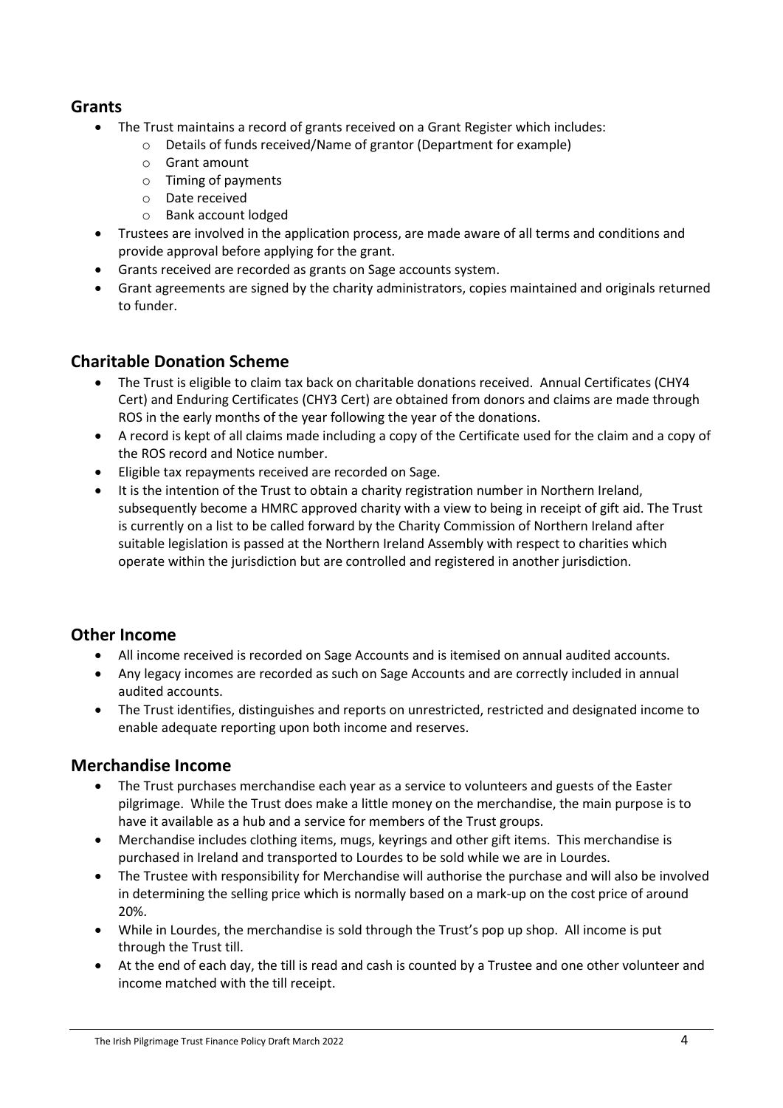## **Grants**

- The Trust maintains a record of grants received on a Grant Register which includes:
	- o Details of funds received/Name of grantor (Department for example)
	- o Grant amount
	- o Timing of payments
	- o Date received
	- o Bank account lodged
- Trustees are involved in the application process, are made aware of all terms and conditions and provide approval before applying for the grant.
- Grants received are recorded as grants on Sage accounts system.
- Grant agreements are signed by the charity administrators, copies maintained and originals returned to funder.

## **Charitable Donation Scheme**

- The Trust is eligible to claim tax back on charitable donations received. Annual Certificates (CHY4 Cert) and Enduring Certificates (CHY3 Cert) are obtained from donors and claims are made through ROS in the early months of the year following the year of the donations.
- A record is kept of all claims made including a copy of the Certificate used for the claim and a copy of the ROS record and Notice number.
- Eligible tax repayments received are recorded on Sage.
- It is the intention of the Trust to obtain a charity registration number in Northern Ireland, subsequently become a HMRC approved charity with a view to being in receipt of gift aid. The Trust is currently on a list to be called forward by the Charity Commission of Northern Ireland after suitable legislation is passed at the Northern Ireland Assembly with respect to charities which operate within the jurisdiction but are controlled and registered in another jurisdiction.

## **Other Income**

- All income received is recorded on Sage Accounts and is itemised on annual audited accounts.
- Any legacy incomes are recorded as such on Sage Accounts and are correctly included in annual audited accounts.
- The Trust identifies, distinguishes and reports on unrestricted, restricted and designated income to enable adequate reporting upon both income and reserves.

## **Merchandise Income**

- The Trust purchases merchandise each year as a service to volunteers and guests of the Easter pilgrimage. While the Trust does make a little money on the merchandise, the main purpose is to have it available as a hub and a service for members of the Trust groups.
- Merchandise includes clothing items, mugs, keyrings and other gift items. This merchandise is purchased in Ireland and transported to Lourdes to be sold while we are in Lourdes.
- The Trustee with responsibility for Merchandise will authorise the purchase and will also be involved in determining the selling price which is normally based on a mark-up on the cost price of around 20%.
- While in Lourdes, the merchandise is sold through the Trust's pop up shop. All income is put through the Trust till.
- At the end of each day, the till is read and cash is counted by a Trustee and one other volunteer and income matched with the till receipt.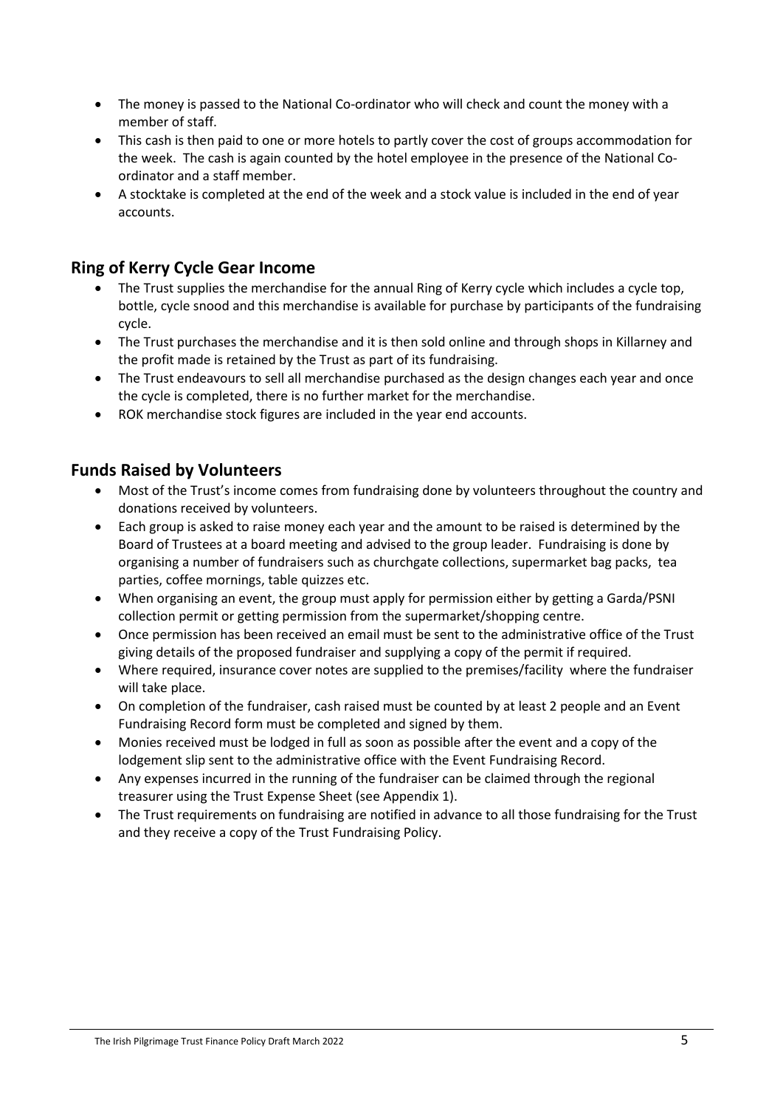- The money is passed to the National Co-ordinator who will check and count the money with a member of staff.
- This cash is then paid to one or more hotels to partly cover the cost of groups accommodation for the week. The cash is again counted by the hotel employee in the presence of the National Coordinator and a staff member.
- A stocktake is completed at the end of the week and a stock value is included in the end of year accounts.

## **Ring of Kerry Cycle Gear Income**

- The Trust supplies the merchandise for the annual Ring of Kerry cycle which includes a cycle top, bottle, cycle snood and this merchandise is available for purchase by participants of the fundraising cycle.
- The Trust purchases the merchandise and it is then sold online and through shops in Killarney and the profit made is retained by the Trust as part of its fundraising.
- The Trust endeavours to sell all merchandise purchased as the design changes each year and once the cycle is completed, there is no further market for the merchandise.
- ROK merchandise stock figures are included in the year end accounts.

## **Funds Raised by Volunteers**

- Most of the Trust's income comes from fundraising done by volunteers throughout the country and donations received by volunteers.
- Each group is asked to raise money each year and the amount to be raised is determined by the Board of Trustees at a board meeting and advised to the group leader. Fundraising is done by organising a number of fundraisers such as churchgate collections, supermarket bag packs, tea parties, coffee mornings, table quizzes etc.
- When organising an event, the group must apply for permission either by getting a Garda/PSNI collection permit or getting permission from the supermarket/shopping centre.
- Once permission has been received an email must be sent to the administrative office of the Trust giving details of the proposed fundraiser and supplying a copy of the permit if required.
- Where required, insurance cover notes are supplied to the premises/facility where the fundraiser will take place.
- On completion of the fundraiser, cash raised must be counted by at least 2 people and an Event Fundraising Record form must be completed and signed by them.
- Monies received must be lodged in full as soon as possible after the event and a copy of the lodgement slip sent to the administrative office with the Event Fundraising Record.
- Any expenses incurred in the running of the fundraiser can be claimed through the regional treasurer using the Trust Expense Sheet (see Appendix 1).
- The Trust requirements on fundraising are notified in advance to all those fundraising for the Trust and they receive a copy of the Trust Fundraising Policy.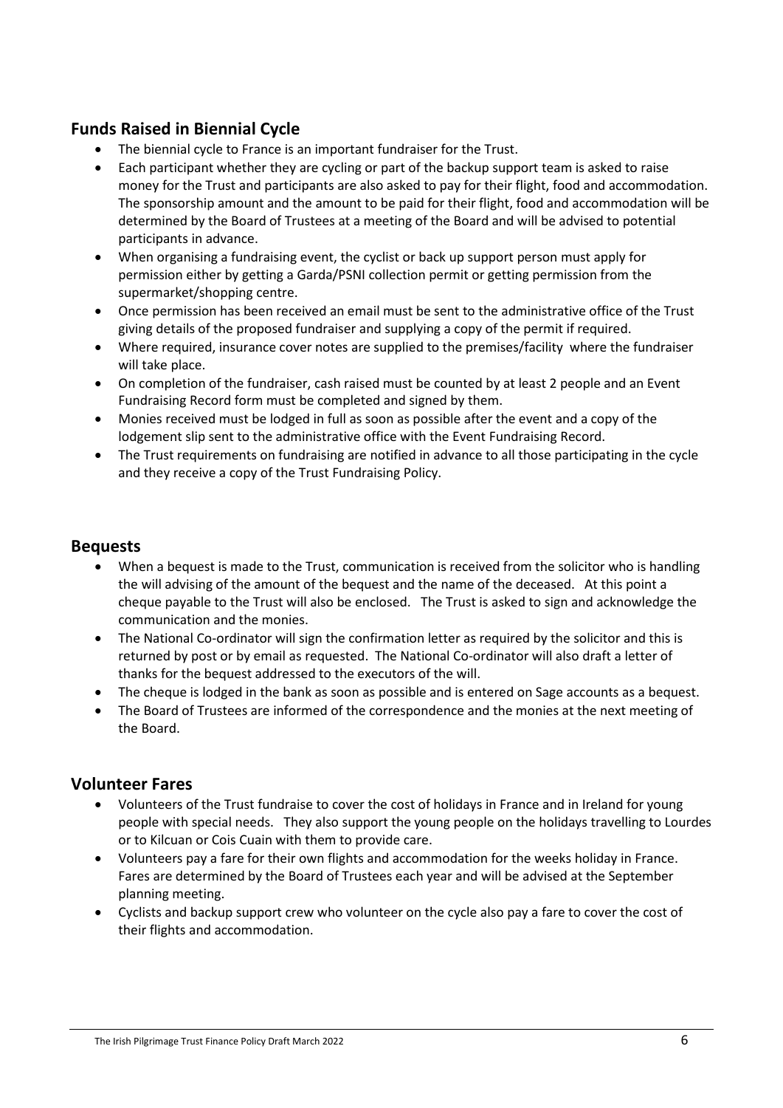# **Funds Raised in Biennial Cycle**

- The biennial cycle to France is an important fundraiser for the Trust.
- Each participant whether they are cycling or part of the backup support team is asked to raise money for the Trust and participants are also asked to pay for their flight, food and accommodation. The sponsorship amount and the amount to be paid for their flight, food and accommodation will be determined by the Board of Trustees at a meeting of the Board and will be advised to potential participants in advance.
- When organising a fundraising event, the cyclist or back up support person must apply for permission either by getting a Garda/PSNI collection permit or getting permission from the supermarket/shopping centre.
- Once permission has been received an email must be sent to the administrative office of the Trust giving details of the proposed fundraiser and supplying a copy of the permit if required.
- Where required, insurance cover notes are supplied to the premises/facility where the fundraiser will take place.
- On completion of the fundraiser, cash raised must be counted by at least 2 people and an Event Fundraising Record form must be completed and signed by them.
- Monies received must be lodged in full as soon as possible after the event and a copy of the lodgement slip sent to the administrative office with the Event Fundraising Record.
- The Trust requirements on fundraising are notified in advance to all those participating in the cycle and they receive a copy of the Trust Fundraising Policy.

#### **Bequests**

- When a bequest is made to the Trust, communication is received from the solicitor who is handling the will advising of the amount of the bequest and the name of the deceased. At this point a cheque payable to the Trust will also be enclosed. The Trust is asked to sign and acknowledge the communication and the monies.
- The National Co-ordinator will sign the confirmation letter as required by the solicitor and this is returned by post or by email as requested. The National Co-ordinator will also draft a letter of thanks for the bequest addressed to the executors of the will.
- The cheque is lodged in the bank as soon as possible and is entered on Sage accounts as a bequest.
- The Board of Trustees are informed of the correspondence and the monies at the next meeting of the Board.

#### **Volunteer Fares**

- Volunteers of the Trust fundraise to cover the cost of holidays in France and in Ireland for young people with special needs. They also support the young people on the holidays travelling to Lourdes or to Kilcuan or Cois Cuain with them to provide care.
- Volunteers pay a fare for their own flights and accommodation for the weeks holiday in France. Fares are determined by the Board of Trustees each year and will be advised at the September planning meeting.
- Cyclists and backup support crew who volunteer on the cycle also pay a fare to cover the cost of their flights and accommodation.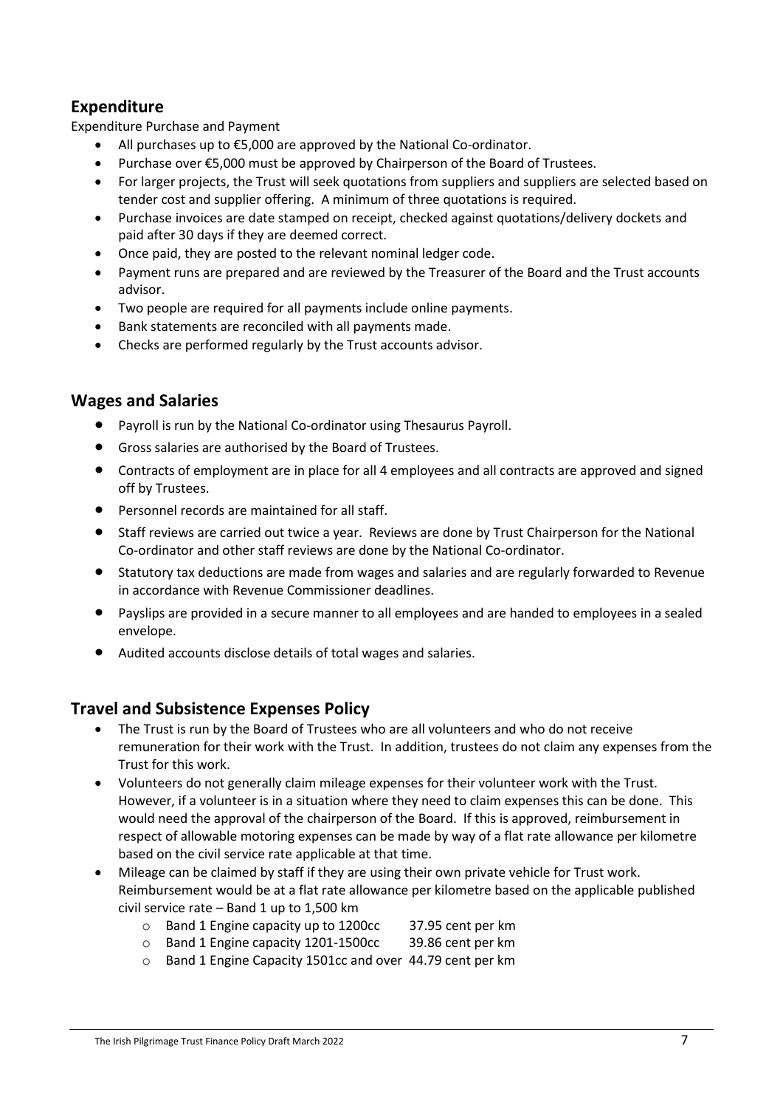# **Expenditure**

Expenditure Purchase and Payment

- All purchases up to  $£5,000$  are approved by the National Co-ordinator.
- Purchase over €5,000 must be approved by Chairperson of the Board of Trustees.
- For larger projects, the Trust will seek quotations from suppliers and suppliers are selected based on tender cost and supplier offering. A minimum of three quotations is required.
- Purchase invoices are date stamped on receipt, checked against quotations/delivery dockets and paid after 30 days if they are deemed correct.
- Once paid, they are posted to the relevant nominal ledger code.
- Payment runs are prepared and are reviewed by the Treasurer of the Board and the Trust accounts advisor.
- Two people are required for all payments include online payments.
- Bank statements are reconciled with all payments made.
- Checks are performed regularly by the Trust accounts advisor.

#### **Wages and Salaries**

- Payroll is run by the National Co-ordinator using Thesaurus Payroll.
- Gross salaries are authorised by the Board of Trustees.
- Contracts of employment are in place for all 4 employees and all contracts are approved and signed off by Trustees.
- Personnel records are maintained for all staff.
- Staff reviews are carried out twice a year. Reviews are done by Trust Chairperson for the National Co-ordinator and other staff reviews are done by the National Co-ordinator.
- Statutory tax deductions are made from wages and salaries and are regularly forwarded to Revenue in accordance with Revenue Commissioner deadlines.
- Payslips are provided in a secure manner to all employees and are handed to employees in a sealed envelope.
- Audited accounts disclose details of total wages and salaries.

#### **Travel and Subsistence Expenses Policy**

- The Trust is run by the Board of Trustees who are all volunteers and who do not receive remuneration for their work with the Trust. In addition, trustees do not claim any expenses from the Trust for this work.
- Volunteers do not generally claim mileage expenses for their volunteer work with the Trust. However, if a volunteer is in a situation where they need to claim expenses this can be done. This would need the approval of the chairperson of the Board. If this is approved, reimbursement in respect of allowable motoring expenses can be made by way of a flat rate allowance per kilometre based on the civil service rate applicable at that time.
- Mileage can be claimed by staff if they are using their own private vehicle for Trust work. Reimbursement would be at a flat rate allowance per kilometre based on the applicable published civil service rate  $-$  Band 1 up to 1,500 km
	- o Band 1 Engine capacity up to 1200cc 37.95 cent per km
	- $\circ$  Band 1 Engine capacity 1201-1500cc
	- o Band 1 Engine Capacity 1501cc and over 44.79 cent per km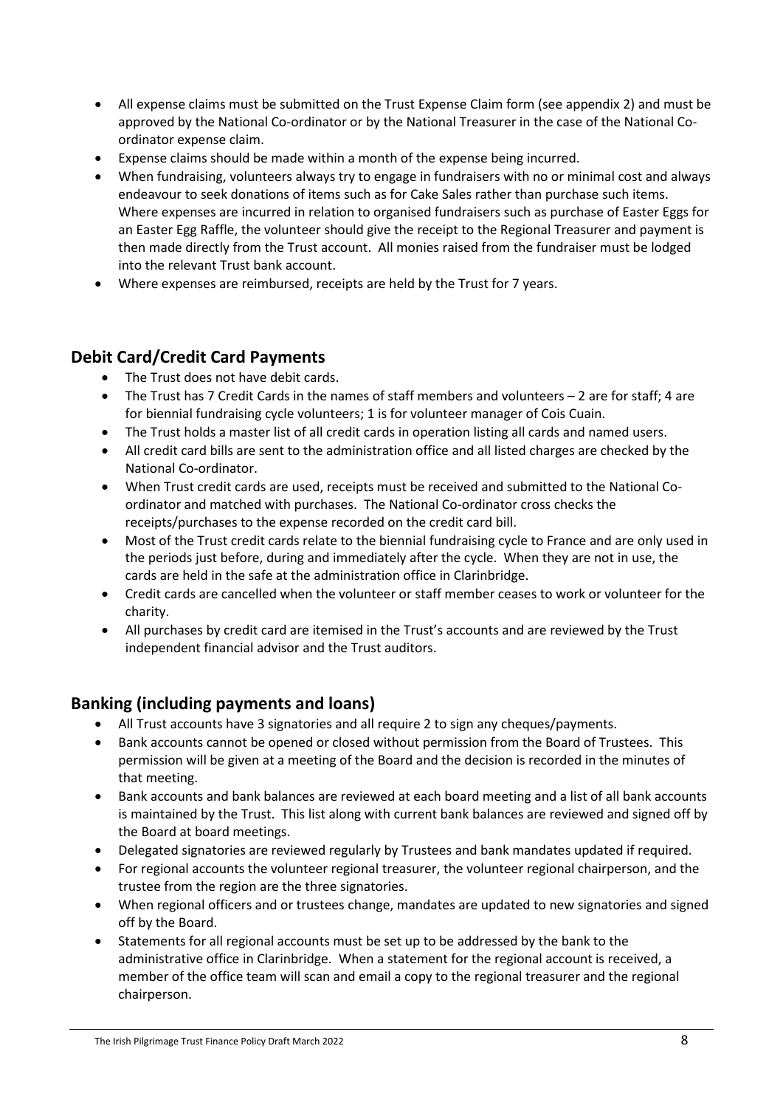- All expense claims must be submitted on the Trust Expense Claim form (see appendix 2) and must be approved by the National Co-ordinator or by the National Treasurer in the case of the National Coordinator expense claim.
- Expense claims should be made within a month of the expense being incurred.
- When fundraising, volunteers always try to engage in fundraisers with no or minimal cost and always endeavour to seek donations of items such as for Cake Sales rather than purchase such items. Where expenses are incurred in relation to organised fundraisers such as purchase of Easter Eggs for an Easter Egg Raffle, the volunteer should give the receipt to the Regional Treasurer and payment is then made directly from the Trust account. All monies raised from the fundraiser must be lodged into the relevant Trust bank account.
- Where expenses are reimbursed, receipts are held by the Trust for 7 years.

## **Debit Card/Credit Card Payments**

- The Trust does not have debit cards.
- The Trust has 7 Credit Cards in the names of staff members and volunteers 2 are for staff; 4 are for biennial fundraising cycle volunteers; 1 is for volunteer manager of Cois Cuain.
- The Trust holds a master list of all credit cards in operation listing all cards and named users.
- All credit card bills are sent to the administration office and all listed charges are checked by the National Co-ordinator.
- When Trust credit cards are used, receipts must be received and submitted to the National Coordinator and matched with purchases. The National Co-ordinator cross checks the receipts/purchases to the expense recorded on the credit card bill.
- Most of the Trust credit cards relate to the biennial fundraising cycle to France and are only used in the periods just before, during and immediately after the cycle. When they are not in use, the cards are held in the safe at the administration office in Clarinbridge.
- Credit cards are cancelled when the volunteer or staff member ceases to work or volunteer for the charity.
- All purchases by credit card are itemised in the Trust's accounts and are reviewed by the Trust independent financial advisor and the Trust auditors.

# **Banking (including payments and loans)**

- All Trust accounts have 3 signatories and all require 2 to sign any cheques/payments.
- Bank accounts cannot be opened or closed without permission from the Board of Trustees. This permission will be given at a meeting of the Board and the decision is recorded in the minutes of that meeting.
- Bank accounts and bank balances are reviewed at each board meeting and a list of all bank accounts is maintained by the Trust. This list along with current bank balances are reviewed and signed off by the Board at board meetings.
- Delegated signatories are reviewed regularly by Trustees and bank mandates updated if required.
- For regional accounts the volunteer regional treasurer, the volunteer regional chairperson, and the trustee from the region are the three signatories.
- When regional officers and or trustees change, mandates are updated to new signatories and signed off by the Board.
- Statements for all regional accounts must be set up to be addressed by the bank to the administrative office in Clarinbridge. When a statement for the regional account is received, a member of the office team will scan and email a copy to the regional treasurer and the regional chairperson.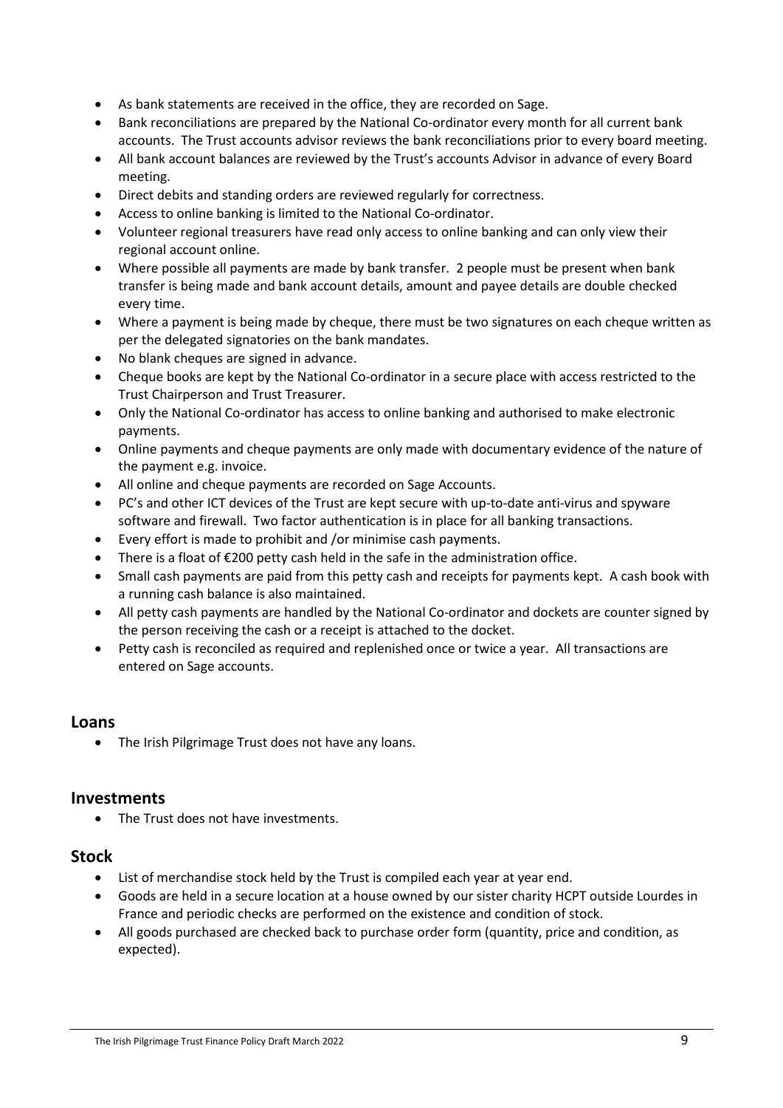- As bank statements are received in the office, they are recorded on Sage.
- Bank reconciliations are prepared by the National Co-ordinator every month for all current bank accounts. The Trust accounts advisor reviews the bank reconciliations prior to every board meeting.
- All bank account balances are reviewed by the Trust's accounts Advisor in advance of every Board meeting.
- Direct debits and standing orders are reviewed regularly for correctness.
- Access to online banking is limited to the National Co-ordinator.
- Volunteer regional treasurers have read only access to online banking and can only view their regional account online.
- Where possible all payments are made by bank transfer. 2 people must be present when bank transfer is being made and bank account details, amount and payee details are double checked every time.
- Where a payment is being made by cheque, there must be two signatures on each cheque written as per the delegated signatories on the bank mandates.
- No blank cheques are signed in advance.
- Cheque books are kept by the National Co-ordinator in a secure place with access restricted to the Trust Chairperson and Trust Treasurer.
- Only the National Co-ordinator has access to online banking and authorised to make electronic payments.
- Online payments and cheque payments are only made with documentary evidence of the nature of the payment e.g. invoice.
- All online and cheque payments are recorded on Sage Accounts.
- PC's and other ICT devices of the Trust are kept secure with up-to-date anti-virus and spyware software and firewall. Two factor authentication is in place for all banking transactions.
- Every effort is made to prohibit and /or minimise cash payments.
- There is a float of €200 petty cash held in the safe in the administration office.
- Small cash payments are paid from this petty cash and receipts for payments kept. A cash book with a running cash balance is also maintained.
- All petty cash payments are handled by the National Co-ordinator and dockets are counter signed by the person receiving the cash or a receipt is attached to the docket.
- Petty cash is reconciled as required and replenished once or twice a year. All transactions are entered on Sage accounts.

#### **Loans**

• The Irish Pilgrimage Trust does not have any loans.

#### **Investments**

• The Trust does not have investments.

#### **Stock**

- List of merchandise stock held by the Trust is compiled each year at year end.
- Goods are held in a secure location at a house owned by our sister charity HCPT outside Lourdes in France and periodic checks are performed on the existence and condition of stock.
- All goods purchased are checked back to purchase order form (quantity, price and condition, as expected).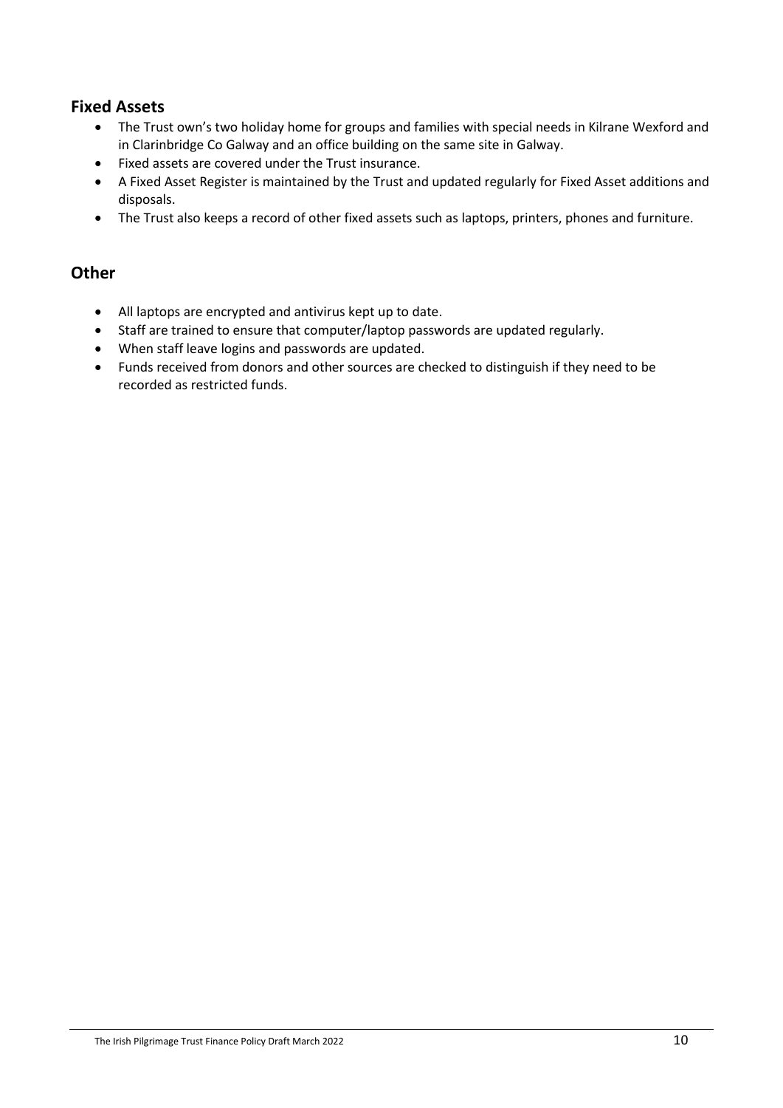## **Fixed Assets**

- The Trust own's two holiday home for groups and families with special needs in Kilrane Wexford and in Clarinbridge Co Galway and an office building on the same site in Galway.
- Fixed assets are covered under the Trust insurance.
- A Fixed Asset Register is maintained by the Trust and updated regularly for Fixed Asset additions and disposals.
- The Trust also keeps a record of other fixed assets such as laptops, printers, phones and furniture.

#### **Other**

- All laptops are encrypted and antivirus kept up to date.
- Staff are trained to ensure that computer/laptop passwords are updated regularly.
- When staff leave logins and passwords are updated.
- Funds received from donors and other sources are checked to distinguish if they need to be recorded as restricted funds.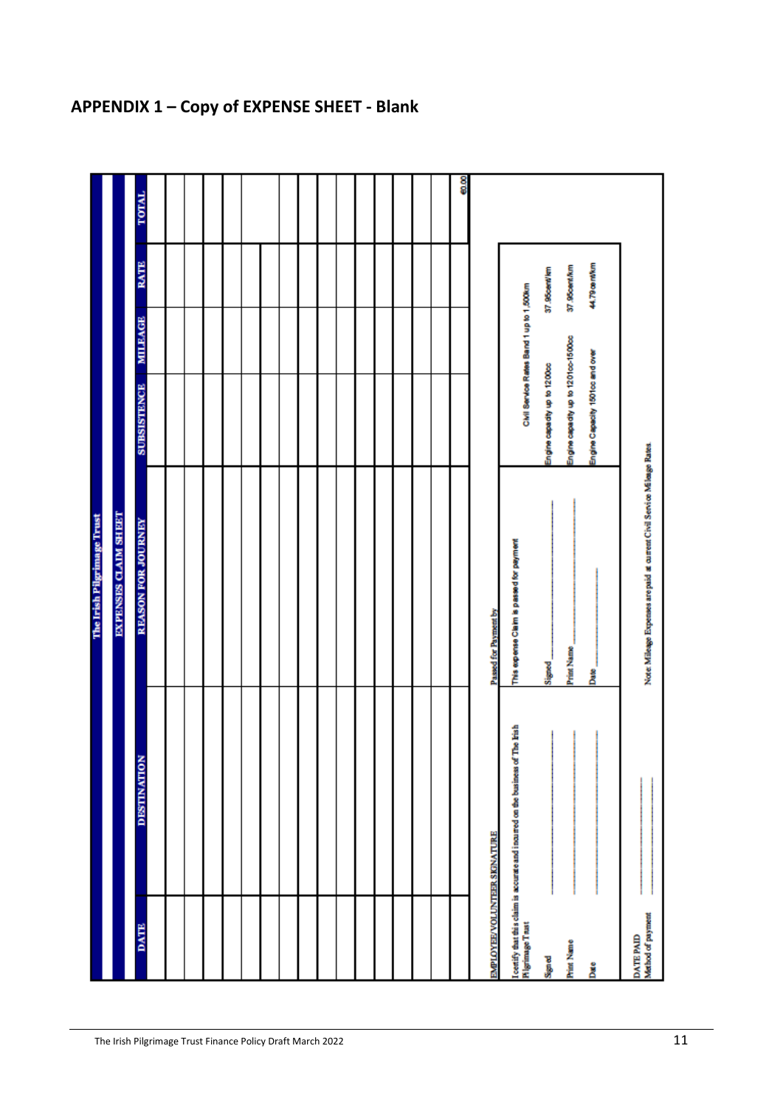|                                |                                                                                | The Irish Pilgrimage Trust                                              |                                          |         |               |              |
|--------------------------------|--------------------------------------------------------------------------------|-------------------------------------------------------------------------|------------------------------------------|---------|---------------|--------------|
|                                |                                                                                | EXPENSES CLAIM SHEET                                                    |                                          |         |               |              |
| <b>BATE</b>                    | <b>DESTINATION</b>                                                             | REASON FOR JOURNEY                                                      | <b>SUBSISTENCE</b>                       | MILEAGE | <b>RATE</b>   | <b>TOTAL</b> |
|                                |                                                                                |                                                                         |                                          |         |               |              |
|                                |                                                                                |                                                                         |                                          |         |               |              |
|                                |                                                                                |                                                                         |                                          |         |               |              |
|                                |                                                                                |                                                                         |                                          |         |               |              |
|                                |                                                                                |                                                                         |                                          |         |               |              |
|                                |                                                                                |                                                                         |                                          |         |               |              |
|                                |                                                                                |                                                                         |                                          |         |               |              |
|                                |                                                                                |                                                                         |                                          |         |               |              |
|                                |                                                                                |                                                                         |                                          |         |               |              |
|                                |                                                                                |                                                                         |                                          |         |               |              |
|                                |                                                                                |                                                                         |                                          |         |               |              |
|                                |                                                                                |                                                                         |                                          |         |               |              |
|                                |                                                                                |                                                                         |                                          |         |               |              |
|                                |                                                                                |                                                                         |                                          |         |               |              |
|                                |                                                                                |                                                                         |                                          |         |               |              |
|                                |                                                                                |                                                                         |                                          |         |               |              |
|                                |                                                                                |                                                                         |                                          |         |               | 60.00        |
| EMPLOYEE/VOLUNTEER SKINATURE   |                                                                                | Passed for Payment by                                                   |                                          |         |               |              |
| <b>Higrimage Trust</b>         | Localify that this claim is accurate and incurred on the business of The Irish | This expense Claim is passed for payment                                | Civil Service Rates Band 1 up to 1,500km |         |               |              |
| Signed                         |                                                                                | Signed <sub>_</sub>                                                     | Engine capadity up to 1200cc             |         | 37.95cent/lim |              |
| <b>Print Name</b>              |                                                                                | <b>Print Name</b>                                                       | Engine capadly up to 1201oc-1500cc       |         | 37.95cent/km  |              |
| Date                           |                                                                                | Date <sub>.</sub>                                                       | Engine Capacity 1501cc and over          |         | 44.79 centium |              |
| Method of payment<br>DATE PAID |                                                                                | Note: Mileage Expenses are paid at current Civil Service Mileage Rates. |                                          |         |               |              |
|                                |                                                                                |                                                                         |                                          |         |               |              |